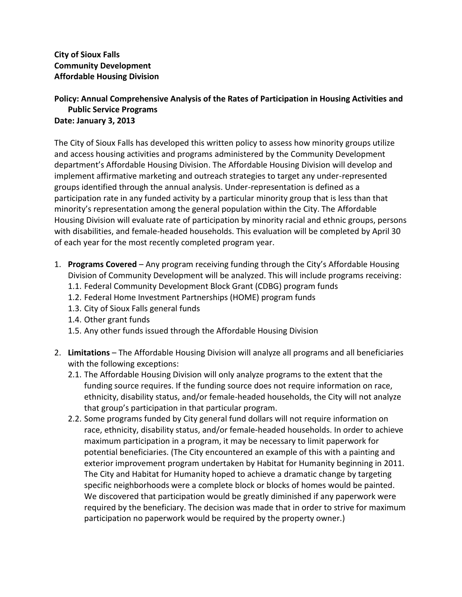**City of Sioux Falls Community Development Affordable Housing Division**

## **Policy: Annual Comprehensive Analysis of the Rates of Participation in Housing Activities and Public Service Programs Date: January 3, 2013**

The City of Sioux Falls has developed this written policy to assess how minority groups utilize and access housing activities and programs administered by the Community Development department's Affordable Housing Division. The Affordable Housing Division will develop and implement affirmative marketing and outreach strategies to target any under-represented groups identified through the annual analysis. Under-representation is defined as a participation rate in any funded activity by a particular minority group that is less than that minority's representation among the general population within the City. The Affordable Housing Division will evaluate rate of participation by minority racial and ethnic groups, persons with disabilities, and female-headed households. This evaluation will be completed by April 30 of each year for the most recently completed program year.

- 1. **Programs Covered** Any program receiving funding through the City's Affordable Housing Division of Community Development will be analyzed. This will include programs receiving:
	- 1.1. Federal Community Development Block Grant (CDBG) program funds
	- 1.2. Federal Home Investment Partnerships (HOME) program funds
	- 1.3. City of Sioux Falls general funds
	- 1.4. Other grant funds
	- 1.5. Any other funds issued through the Affordable Housing Division
- 2. **Limitations** The Affordable Housing Division will analyze all programs and all beneficiaries with the following exceptions:
	- 2.1. The Affordable Housing Division will only analyze programs to the extent that the funding source requires. If the funding source does not require information on race, ethnicity, disability status, and/or female-headed households, the City will not analyze that group's participation in that particular program.
	- 2.2. Some programs funded by City general fund dollars will not require information on race, ethnicity, disability status, and/or female-headed households. In order to achieve maximum participation in a program, it may be necessary to limit paperwork for potential beneficiaries. (The City encountered an example of this with a painting and exterior improvement program undertaken by Habitat for Humanity beginning in 2011. The City and Habitat for Humanity hoped to achieve a dramatic change by targeting specific neighborhoods were a complete block or blocks of homes would be painted. We discovered that participation would be greatly diminished if any paperwork were required by the beneficiary. The decision was made that in order to strive for maximum participation no paperwork would be required by the property owner.)